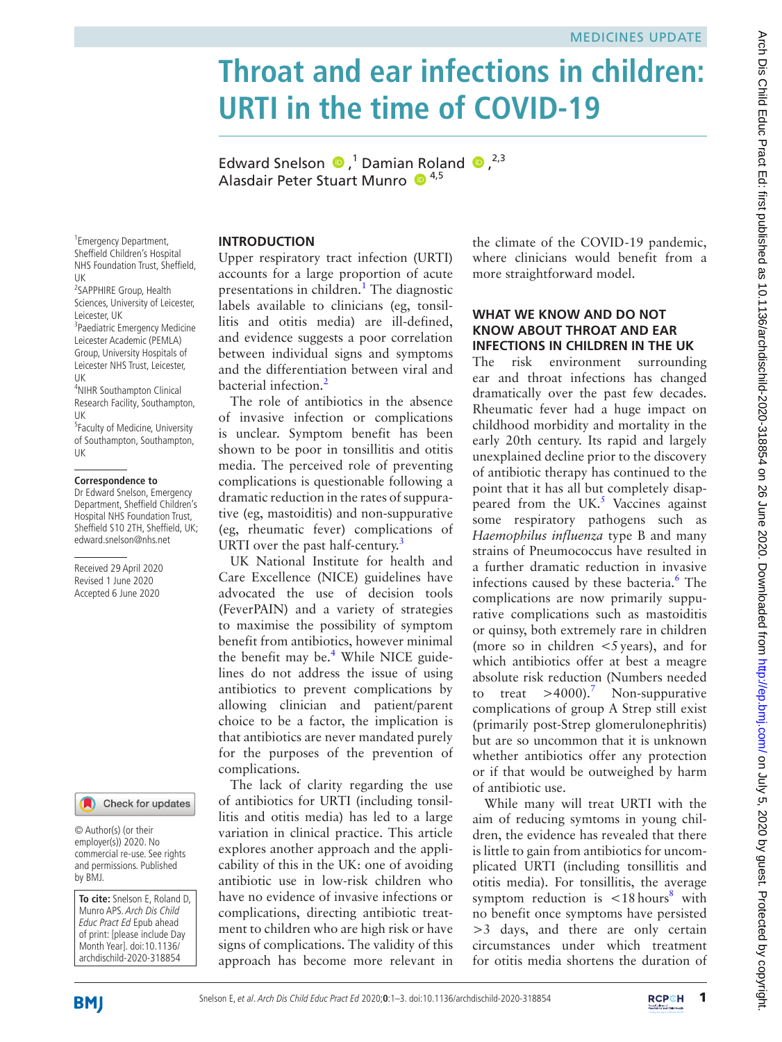# **Throat and ear infections in children: URTI in the time of COVID-19**

EdwardSnelson  $\bigcirc$ ,<sup>1</sup> Damian Roland  $\bigcirc$ ,<sup>2,3</sup> Alasdair Peter Stuart Munro <sup>1,5</sup>

1 Emergency Department, Sheffield Children's Hospital NHS Foundation Trust, Sheffield, UK

2 SAPPHIRE Group, Health Sciences, University of Leicester, Leicester, UK 3 Paediatric Emergency Medicine Leicester Academic (PEMLA)

Group, University Hospitals of Leicester NHS Trust, Leicester, UK

4 NIHR Southampton Clinical Research Facility, Southampton, UK

<sup>5</sup> Faculty of Medicine, University of Southampton, Southampton, UK

#### **Correspondence to**

Dr Edward Snelson, Emergency Department, Sheffield Children's Hospital NHS Foundation Trust, Sheffield S10 2TH, Sheffield, UK; edward.snelson@nhs.net

Received 29 April 2020 Revised 1 June 2020 Accepted 6 June 2020



© Author(s) (or their employer(s)) 2020. No commercial re-use. See rights and permissions. Published by BMJ.

**To cite:** Snelson E, Roland D, Munro APS. Arch Dis Child Educ Pract Ed Epub ahead of print: [please include Day Month Year]. doi:10.1136/ archdischild-2020-318854

#### **Introduction**

Upper respiratory tract infection (URTI) accounts for a large proportion of acute presentations in children.<sup>1</sup> The diagnostic labels available to clinicians (eg, tonsillitis and otitis media) are ill-defined, and evidence suggests a poor correlation between individual signs and symptoms and the differentiation between viral and bacterial infection.<sup>2</sup>

The role of antibiotics in the absence of invasive infection or complications is unclear. Symptom benefit has been shown to be poor in tonsillitis and otitis media. The perceived role of preventing complications is questionable following a dramatic reduction in the rates of suppurative (eg, mastoiditis) and non-suppurative (eg, rheumatic fever) complications of URTI over the past half-century.<sup>[3](#page-2-2)</sup>

UK National Institute for health and Care Excellence (NICE) guidelines have advocated the use of decision tools (FeverPAIN) and a variety of strategies to maximise the possibility of symptom benefit from antibiotics, however minimal the benefit may be.<sup>4</sup> While NICE guidelines do not address the issue of using antibiotics to prevent complications by allowing clinician and patient/parent choice to be a factor, the implication is that antibiotics are never mandated purely for the purposes of the prevention of complications.

The lack of clarity regarding the use of antibiotics for URTI (including tonsillitis and otitis media) has led to a large variation in clinical practice. This article explores another approach and the applicability of this in the UK: one of avoiding antibiotic use in low-risk children who have no evidence of invasive infections or complications, directing antibiotic treatment to children who are high risk or have signs of complications. The validity of this approach has become more relevant in the climate of the COVID-19 pandemic, where clinicians would benefit from a more straightforward model.

#### WHAT WE KNOW AND DO NOT **know about throat and ear infections in children in the UK**

The risk environment surrounding ear and throat infections has changed dramatically over the past few decades. Rheumatic fever had a huge impact on childhood morbidity and mortality in the early 20th century. Its rapid and largely unexplained decline prior to the discovery of antibiotic therapy has continued to the point that it has all but completely disappeared from the UK. $<sup>5</sup>$  $<sup>5</sup>$  $<sup>5</sup>$  Vaccines against</sup> some respiratory pathogens such as *Haemophilus influenza* type B and many strains of Pneumococcus have resulted in a further dramatic reduction in invasive infections caused by these bacteria.<sup>6</sup> The complications are now primarily suppurative complications such as mastoiditis or quinsy, both extremely rare in children (more so in children  $\lt$ 5 years), and for which antibiotics offer at best a meagre absolute risk reduction (Numbers needed treat  $>4000$ ).<sup>7</sup> Non-suppurative complications of group A Strep still exist (primarily post-Strep glomerulonephritis) but are so uncommon that it is unknown whether antibiotics offer any protection or if that would be outweighed by harm of antibiotic use.

While many will treat URTI with the aim of reducing symtoms in young children, the evidence has revealed that there is little to gain from antibiotics for uncomplicated URTI (including tonsillitis and otitis media). For tonsillitis, the average symptom reduction is  $\langle 18 \text{ hours}^8 \text{ with} \rangle$  $\langle 18 \text{ hours}^8 \text{ with} \rangle$  $\langle 18 \text{ hours}^8 \text{ with} \rangle$ no benefit once symptoms have persisted >3 days, and there are only certain circumstances under which treatment for otitis media shortens the duration of

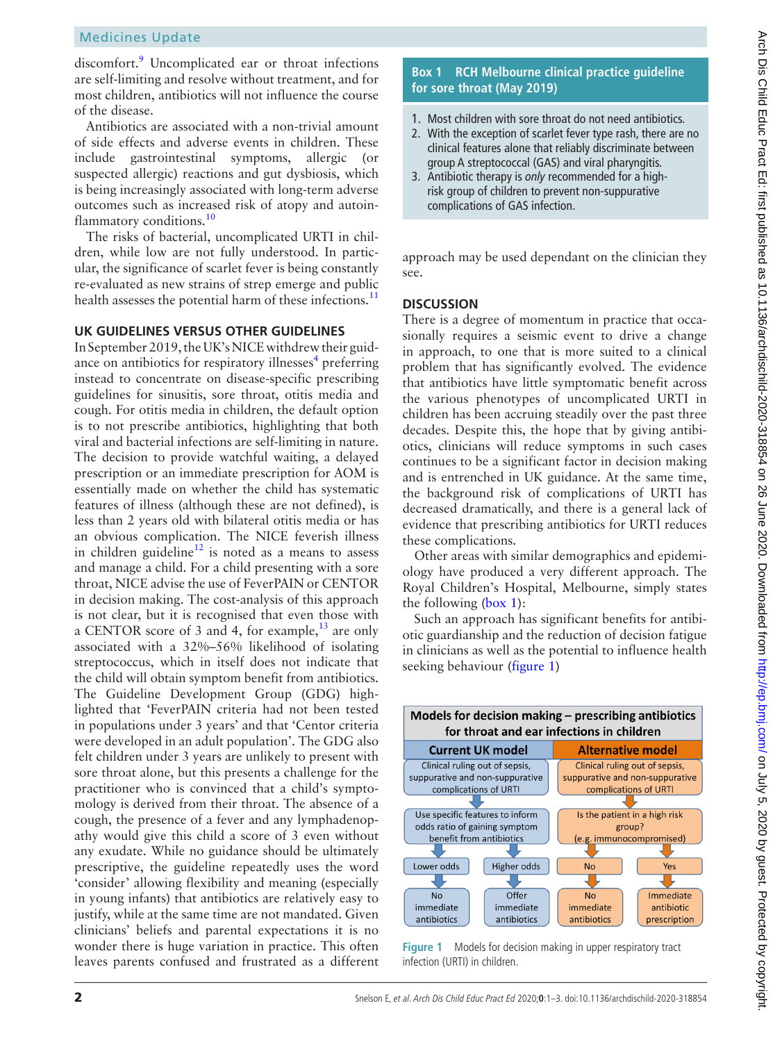# Medicines Update

discomfort.<sup>[9](#page-2-8)</sup> Uncomplicated ear or throat infections are self-limiting and resolve without treatment, and for most children, antibiotics will not influence the course of the disease.

Antibiotics are associated with a non-trivial amount of side effects and adverse events in children. These include gastrointestinal symptoms, allergic (or suspected allergic) reactions and gut dysbiosis, which is being increasingly associated with long-term adverse outcomes such as increased risk of atopy and autoin-flammatory conditions.<sup>[10](#page-2-9)</sup>

The risks of bacterial, uncomplicated URTI in children, while low are not fully understood. In particular, the significance of scarlet fever is being constantly re-evaluated as new strains of strep emerge and public health assesses the potential harm of these infections.<sup>11</sup>

#### **UK guidelines versus other guidelines**

In September 2019, the UK's NICE withdrew their guid-ance on antibiotics for respiratory illnesses<sup>[4](#page-2-3)</sup> preferring instead to concentrate on disease-specific prescribing guidelines for sinusitis, sore throat, otitis media and cough. For otitis media in children, the default option is to not prescribe antibiotics, highlighting that both viral and bacterial infections are self-limiting in nature. The decision to provide watchful waiting, a delayed prescription or an immediate prescription for AOM is essentially made on whether the child has systematic features of illness (although these are not defined), is less than 2 years old with bilateral otitis media or has an obvious complication. The NICE feverish illness in children guideline<sup>[12](#page-2-11)</sup> is noted as a means to assess and manage a child. For a child presenting with a sore throat, NICE advise the use of FeverPAIN or CENTOR in decision making. The cost-analysis of this approach is not clear, but it is recognised that even those with a CENTOR score of 3 and 4, for example, $^{13}$  $^{13}$  $^{13}$  are only associated with a 32%–56% likelihood of isolating streptococcus, which in itself does not indicate that the child will obtain symptom benefit from antibiotics. The Guideline Development Group (GDG) highlighted that 'FeverPAIN criteria had not been tested in populations under 3 years' and that 'Centor criteria were developed in an adult population'. The GDG also felt children under 3 years are unlikely to present with sore throat alone, but this presents a challenge for the practitioner who is convinced that a child's symptomology is derived from their throat. The absence of a cough, the presence of a fever and any lymphadenopathy would give this child a score of 3 even without any exudate. While no guidance should be ultimately prescriptive, the guideline repeatedly uses the word 'consider' allowing flexibility and meaning (especially in young infants) that antibiotics are relatively easy to justify, while at the same time are not mandated. Given clinicians' beliefs and parental expectations it is no wonder there is huge variation in practice. This often leaves parents confused and frustrated as a different

### **Box 1 RCH Melbourne clinical practice guideline for sore throat (May 2019)**

- <span id="page-1-0"></span>1. Most children with sore throat do not need antibiotics.
- 2. With the exception of scarlet fever type rash, there are no clinical features alone that reliably discriminate between group A streptococcal (GAS) and viral pharyngitis.
- 3. Antibiotic therapy is *only* recommended for a highrisk group of children to prevent non-suppurative complications of GAS infection.

approach may be used dependant on the clinician they see.

#### **Discussion**

There is a degree of momentum in practice that occasionally requires a seismic event to drive a change in approach, to one that is more suited to a clinical problem that has significantly evolved. The evidence that antibiotics have little symptomatic benefit across the various phenotypes of uncomplicated URTI in children has been accruing steadily over the past three decades. Despite this, the hope that by giving antibiotics, clinicians will reduce symptoms in such cases continues to be a significant factor in decision making and is entrenched in UK guidance. At the same time, the background risk of complications of URTI has decreased dramatically, and there is a general lack of evidence that prescribing antibiotics for URTI reduces these complications.

Other areas with similar demographics and epidemiology have produced a very different approach. The Royal Children's Hospital, Melbourne, simply states the following ([box](#page-1-0) 1):

Such an approach has significant benefits for antibiotic guardianship and the reduction of decision fatigue in clinicians as well as the potential to influence health seeking behaviour ([figure](#page-1-1) 1)



<span id="page-1-1"></span>**Figure 1** Models for decision making in upper respiratory tract infection (URTI) in children.